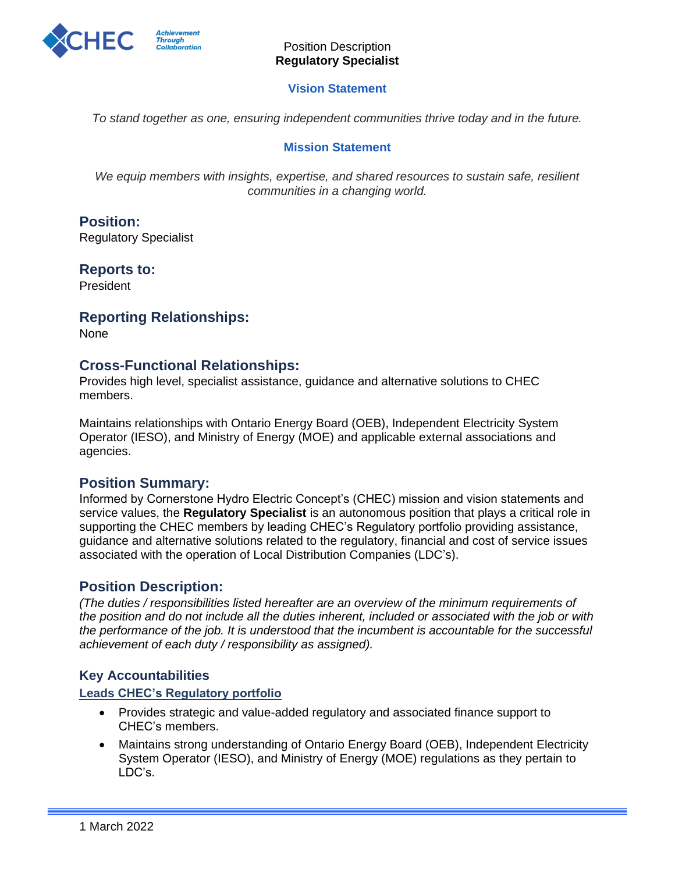

#### **Vision Statement**

*To stand together as one, ensuring independent communities thrive today and in the future.*

#### **Mission Statement**

*We equip members with insights, expertise, and shared resources to sustain safe, resilient communities in a changing world.*

# **Position:**

Regulatory Specialist

# **Reports to:**

President

# **Reporting Relationships:**

None

## **Cross-Functional Relationships:**

Provides high level, specialist assistance, guidance and alternative solutions to CHEC members.

Maintains relationships with Ontario Energy Board (OEB), Independent Electricity System Operator (IESO), and Ministry of Energy (MOE) and applicable external associations and agencies.

## **Position Summary:**

Informed by Cornerstone Hydro Electric Concept's (CHEC) mission and vision statements and service values, the **Regulatory Specialist** is an autonomous position that plays a critical role in supporting the CHEC members by leading CHEC's Regulatory portfolio providing assistance, guidance and alternative solutions related to the regulatory, financial and cost of service issues associated with the operation of Local Distribution Companies (LDC's).

## **Position Description:**

*(The duties / responsibilities listed hereafter are an overview of the minimum requirements of the position and do not include all the duties inherent, included or associated with the job or with the performance of the job. It is understood that the incumbent is accountable for the successful achievement of each duty / responsibility as assigned).*

## **Key Accountabilities**

#### **Leads CHEC's Regulatory portfolio**

- Provides strategic and value-added regulatory and associated finance support to CHEC's members.
- Maintains strong understanding of Ontario Energy Board (OEB), Independent Electricity System Operator (IESO), and Ministry of Energy (MOE) regulations as they pertain to LDC's.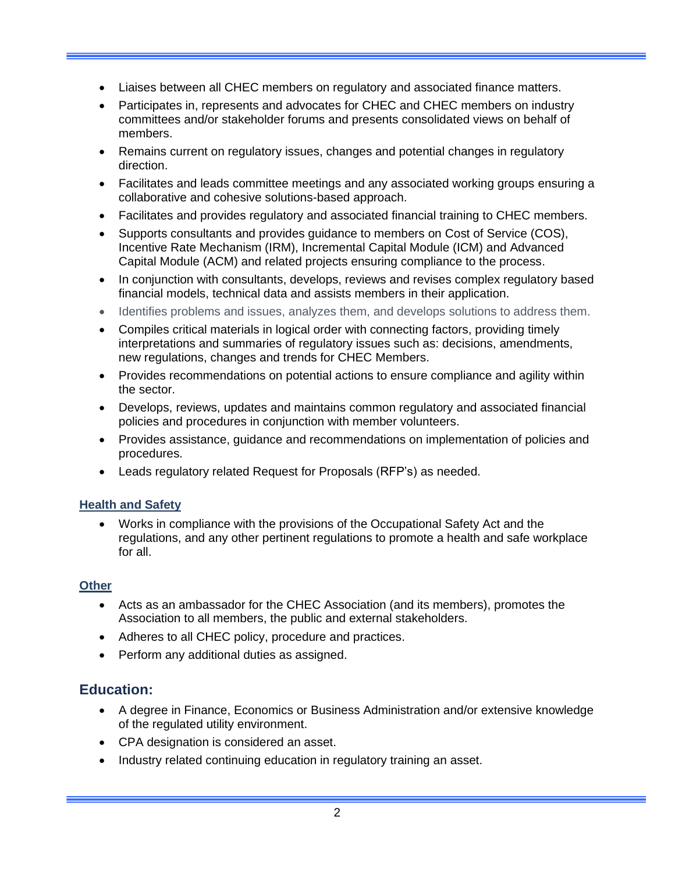- Liaises between all CHEC members on regulatory and associated finance matters.
- Participates in, represents and advocates for CHEC and CHEC members on industry committees and/or stakeholder forums and presents consolidated views on behalf of members.
- Remains current on regulatory issues, changes and potential changes in regulatory direction.
- Facilitates and leads committee meetings and any associated working groups ensuring a collaborative and cohesive solutions-based approach.
- Facilitates and provides regulatory and associated financial training to CHEC members.
- Supports consultants and provides guidance to members on Cost of Service (COS), Incentive Rate Mechanism (IRM), Incremental Capital Module (ICM) and Advanced Capital Module (ACM) and related projects ensuring compliance to the process.
- In conjunction with consultants, develops, reviews and revises complex regulatory based financial models, technical data and assists members in their application.
- Identifies problems and issues, analyzes them, and develops solutions to address them.
- Compiles critical materials in logical order with connecting factors, providing timely interpretations and summaries of regulatory issues such as: decisions, amendments, new regulations, changes and trends for CHEC Members.
- Provides recommendations on potential actions to ensure compliance and agility within the sector.
- Develops, reviews, updates and maintains common regulatory and associated financial policies and procedures in conjunction with member volunteers.
- Provides assistance, guidance and recommendations on implementation of policies and procedures.
- Leads regulatory related Request for Proposals (RFP's) as needed.

#### **Health and Safety**

• Works in compliance with the provisions of the Occupational Safety Act and the regulations, and any other pertinent regulations to promote a health and safe workplace for all.

#### **Other**

- Acts as an ambassador for the CHEC Association (and its members), promotes the Association to all members, the public and external stakeholders.
- Adheres to all CHEC policy, procedure and practices.
- Perform any additional duties as assigned.

## **Education:**

- A degree in Finance, Economics or Business Administration and/or extensive knowledge of the regulated utility environment.
- CPA designation is considered an asset.
- Industry related continuing education in regulatory training an asset.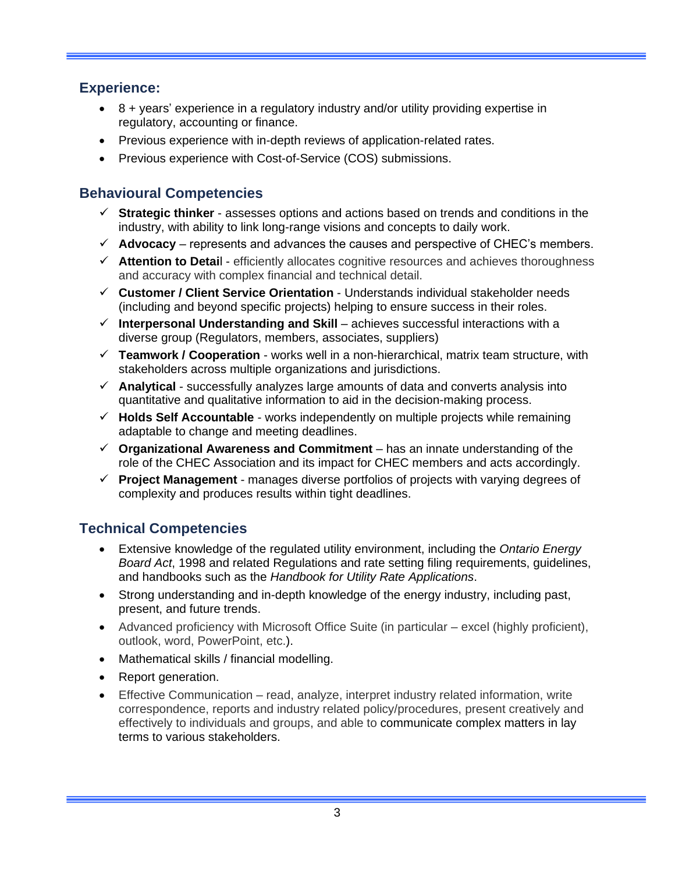# **Experience:**

- 8 + years' experience in a regulatory industry and/or utility providing expertise in regulatory, accounting or finance.
- Previous experience with in-depth reviews of application-related rates.
- Previous experience with Cost-of-Service (COS) submissions.

# **Behavioural Competencies**

- ✓ **Strategic thinker** assesses options and actions based on trends and conditions in the industry, with ability to link long-range visions and concepts to daily work.
- $\checkmark$  Advocacy represents and advances the causes and perspective of CHEC's members.
- ✓ **Attention to Detai**l efficiently allocates cognitive resources and achieves thoroughness and accuracy with complex financial and technical detail.
- ✓ **Customer / Client Service Orientation** Understands individual stakeholder needs (including and beyond specific projects) helping to ensure success in their roles.
- ✓ **Interpersonal Understanding and Skill** achieves successful interactions with a diverse group (Regulators, members, associates, suppliers)
- ✓ **Teamwork / Cooperation** works well in a non-hierarchical, matrix team structure, with stakeholders across multiple organizations and jurisdictions.
- ✓ **Analytical** successfully analyzes large amounts of data and converts analysis into quantitative and qualitative information to aid in the decision-making process.
- ✓ **Holds Self Accountable** works independently on multiple projects while remaining adaptable to change and meeting deadlines.
- $\checkmark$  Organizational Awareness and Commitment has an innate understanding of the role of the CHEC Association and its impact for CHEC members and acts accordingly.
- ✓ **Project Management** manages diverse portfolios of projects with varying degrees of complexity and produces results within tight deadlines.

# **Technical Competencies**

- Extensive knowledge of the regulated utility environment, including the *Ontario Energy Board Act*, 1998 and related Regulations and rate setting filing requirements, guidelines, and handbooks such as the *Handbook for Utility Rate Applications*.
- Strong understanding and in-depth knowledge of the energy industry, including past, present, and future trends.
- Advanced proficiency with Microsoft Office Suite (in particular excel (highly proficient), outlook, word, PowerPoint, etc.).
- Mathematical skills / financial modelling.
- Report generation.
- Effective Communication read, analyze, interpret industry related information, write correspondence, reports and industry related policy/procedures, present creatively and effectively to individuals and groups, and able to communicate complex matters in lay terms to various stakeholders.